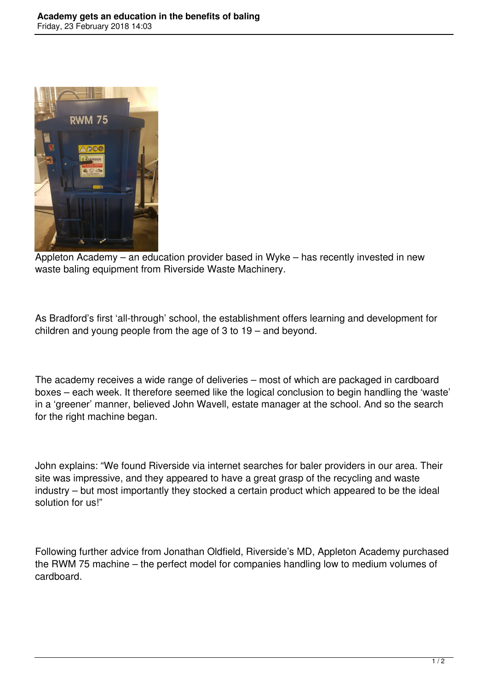

Appleton Academy – an education provider based in Wyke – has recently invested in new waste baling equipment from Riverside Waste Machinery.

As Bradford's first 'all-through' school, the establishment offers learning and development for children and young people from the age of 3 to 19 – and beyond.

The academy receives a wide range of deliveries – most of which are packaged in cardboard boxes – each week. It therefore seemed like the logical conclusion to begin handling the 'waste' in a 'greener' manner, believed John Wavell, estate manager at the school. And so the search for the right machine began.

John explains: "We found Riverside via internet searches for baler providers in our area. Their site was impressive, and they appeared to have a great grasp of the recycling and waste industry – but most importantly they stocked a certain product which appeared to be the ideal solution for us!"

Following further advice from Jonathan Oldfield, Riverside's MD, Appleton Academy purchased the RWM 75 machine – the perfect model for companies handling low to medium volumes of cardboard.